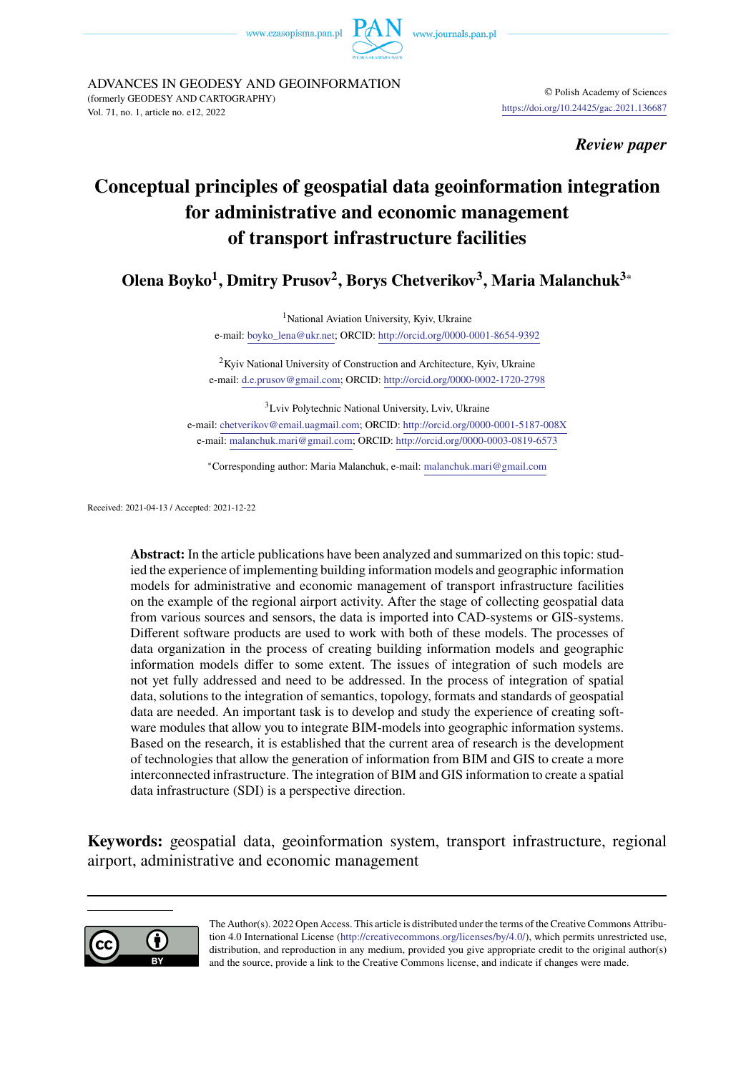www.czasopisma.pan.pl



ADVANCES IN GEODESY AND GEOINFORMATION (formerly GEODESY AND CARTOGRAPHY) © Polish Academy of Sciences vol. 71, no. 1, article no. e12, 2022<br>Vol. 71, no. 1, article no. e12, 2022

*Review paper*

# Conceptual principles of geospatial data geoinformation integration for administrative and economic management of transport infrastructure facilities

**Olena Boyko<sup>1</sup> , Dmitry Prusov<sup>2</sup> , Borys Chetverikov<sup>3</sup> , Maria Malanchuk3**<sup>∗</sup>

<sup>1</sup>National Aviation University, Kyiv, Ukraine e-mail: [boyko\\_lena@ukr.net;](mailto:boyko_lena@ukr.net) ORCID: <http://orcid.org/0000-0001-8654-9392>

<sup>2</sup>Kyiv National University of Construction and Architecture, Kyiv, Ukraine e-mail: [d.e.prusov@gmail.com;](mailto:d.e.prusov@gmail.com) ORCID: <http://orcid.org/0000-0002-1720-2798>

<sup>3</sup>Lviv Polytechnic National University, Lviv, Ukraine e-mail: [chetverikov@email.uagmail.com;](mailto:chetverikov@email.uagmail.com) ORCID: <http://orcid.org/0000-0001-5187-008X> e-mail: [malanchuk.mari@gmail.com;](mailto:malanchuk.mari@gmail.com) ORCID: <http://orcid.org/0000-0003-0819-6573>

<sup>∗</sup>Corresponding author: Maria Malanchuk, e-mail: [malanchuk.mari@gmail.com](mailto:malanchuk.mari@gmail.com)

Received: 2021-04-13 / Accepted: 2021-12-22

**Abstract:** In the article publications have been analyzed and summarized on this topic: studied the experience of implementing building information models and geographic information models for administrative and economic management of transport infrastructure facilities on the example of the regional airport activity. After the stage of collecting geospatial data from various sources and sensors, the data is imported into CAD-systems or GIS-systems. Different software products are used to work with both of these models. The processes of data organization in the process of creating building information models and geographic information models differ to some extent. The issues of integration of such models are not yet fully addressed and need to be addressed. In the process of integration of spatial data, solutions to the integration of semantics, topology, formats and standards of geospatial data are needed. An important task is to develop and study the experience of creating software modules that allow you to integrate BIM-models into geographic information systems. Based on the research, it is established that the current area of research is the development of technologies that allow the generation of information from BIM and GIS to create a more interconnected infrastructure. The integration of BIM and GIS information to create a spatial data infrastructure (SDI) is a perspective direction.

**Keywords:** geospatial data, geoinformation system, transport infrastructure, regional airport, administrative and economic management



The Author(s). 2022 Open Access. This article is distributed under the terms of the Creative Commons Attribution 4.0 International License [\(http://creativecommons.org/licenses/by/4.0/\)](http://creativecommons.org/licenses/by/4.0/), which permits unrestricted use, distribution, and reproduction in any medium, provided you give appropriate credit to the original author(s) and the source, provide a link to the Creative Commons license, and indicate if changes were made.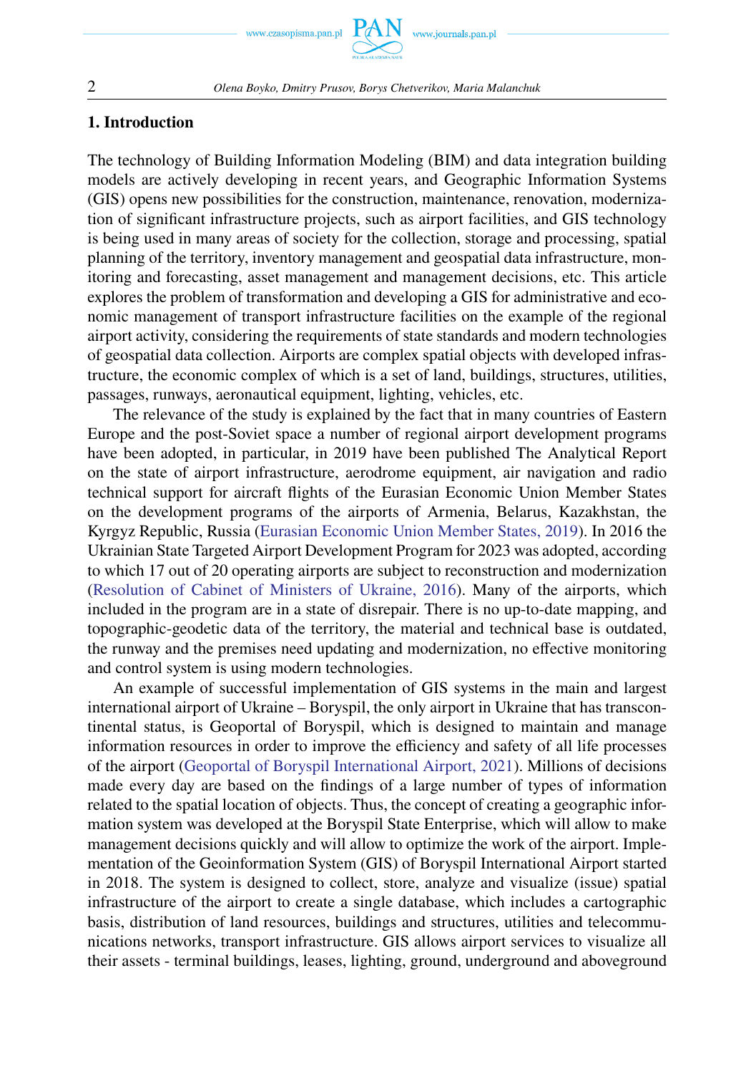

### **1. Introduction**

The technology of Building Information Modeling (BIM) and data integration building models are actively developing in recent years, and Geographic Information Systems (GIS) opens new possibilities for the construction, maintenance, renovation, modernization of significant infrastructure projects, such as airport facilities, and GIS technology is being used in many areas of society for the collection, storage and processing, spatial planning of the territory, inventory management and geospatial data infrastructure, monitoring and forecasting, asset management and management decisions, etc. This article explores the problem of transformation and developing a GIS for administrative and economic management of transport infrastructure facilities on the example of the regional airport activity, considering the requirements of state standards and modern technologies of geospatial data collection. Airports are complex spatial objects with developed infrastructure, the economic complex of which is a set of land, buildings, structures, utilities, passages, runways, aeronautical equipment, lighting, vehicles, etc.

The relevance of the study is explained by the fact that in many countries of Eastern Europe and the post-Soviet space a number of regional airport development programs have been adopted, in particular, in 2019 have been published The Analytical Report on the state of airport infrastructure, aerodrome equipment, air navigation and radio technical support for aircraft flights of the Eurasian Economic Union Member States on the development programs of the airports of Armenia, Belarus, Kazakhstan, the Kyrgyz Republic, Russia [\(Eurasian Economic Union Member States, 2019\)](#page-14-0). In 2016 the Ukrainian State Targeted Airport Development Program for 2023 was adopted, according to which 17 out of 20 operating airports are subject to reconstruction and modernization [\(Resolution of Cabinet of Ministers of Ukraine, 2016\)](#page-14-0). Many of the airports, which included in the program are in a state of disrepair. There is no up-to-date mapping, and topographic-geodetic data of the territory, the material and technical base is outdated, the runway and the premises need updating and modernization, no effective monitoring and control system is using modern technologies.

An example of successful implementation of GIS systems in the main and largest international airport of Ukraine – Boryspil, the only airport in Ukraine that has transcontinental status, is Geoportal of Boryspil, which is designed to maintain and manage information resources in order to improve the efficiency and safety of all life processes of the airport [\(Geoportal of Boryspil International Airport, 2021\)](#page-14-0). Millions of decisions made every day are based on the findings of a large number of types of information related to the spatial location of objects. Thus, the concept of creating a geographic information system was developed at the Boryspil State Enterprise, which will allow to make management decisions quickly and will allow to optimize the work of the airport. Implementation of the Geoinformation System (GIS) of Boryspil International Airport started in 2018. The system is designed to collect, store, analyze and visualize (issue) spatial infrastructure of the airport to create a single database, which includes a cartographic basis, distribution of land resources, buildings and structures, utilities and telecommunications networks, transport infrastructure. GIS allows airport services to visualize all their assets - terminal buildings, leases, lighting, ground, underground and aboveground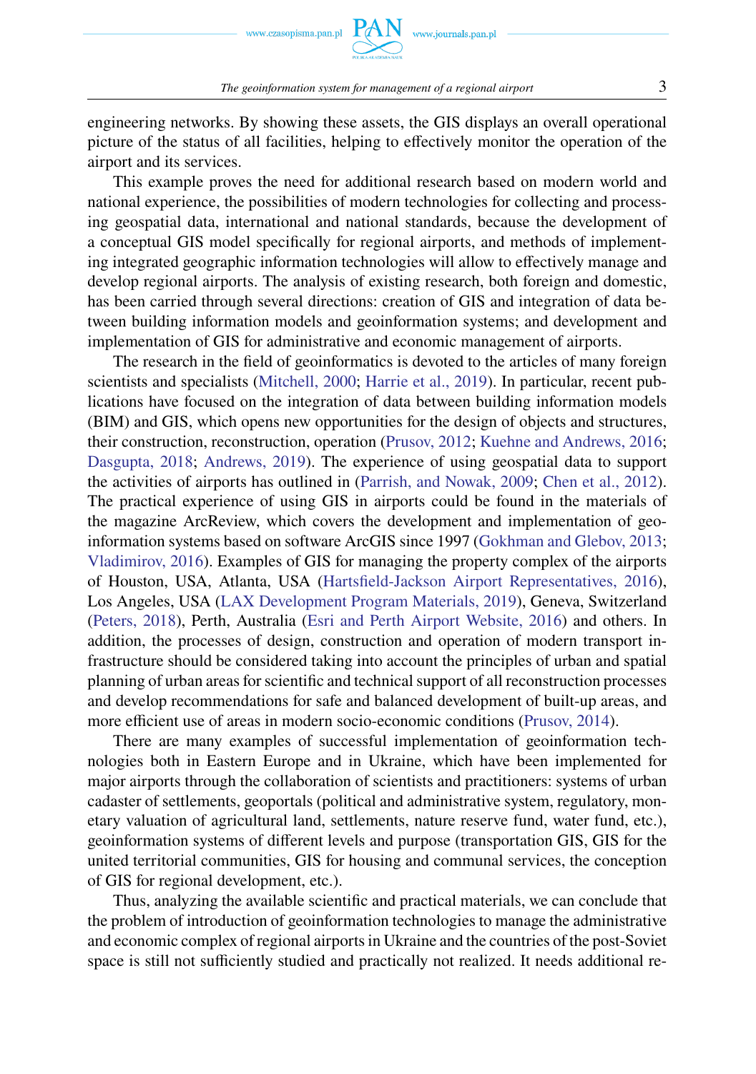

*The geoinformation system for management of a regional airport* 3

engineering networks. By showing these assets, the GIS displays an overall operational picture of the status of all facilities, helping to effectively monitor the operation of the airport and its services.

This example proves the need for additional research based on modern world and national experience, the possibilities of modern technologies for collecting and processing geospatial data, international and national standards, because the development of a conceptual GIS model specifically for regional airports, and methods of implementing integrated geographic information technologies will allow to effectively manage and develop regional airports. The analysis of existing research, both foreign and domestic, has been carried through several directions: creation of GIS and integration of data between building information models and geoinformation systems; and development and implementation of GIS for administrative and economic management of airports.

The research in the field of geoinformatics is devoted to the articles of many foreign scientists and specialists [\(Mitchell, 2000;](#page-14-0) [Harrie et al., 2019\)](#page-14-0). In particular, recent publications have focused on the integration of data between building information models (BIM) and GIS, which opens new opportunities for the design of objects and structures, their construction, reconstruction, operation [\(Prusov, 2012;](#page-14-0) [Kuehne and Andrews, 2016;](#page-14-0) [Dasgupta, 2018;](#page-14-0) [Andrews, 2019\)](#page-14-0). The experience of using geospatial data to support the activities of airports has outlined in [\(Parrish, and Nowak, 2009;](#page-14-0) [Chen et al., 2012\)](#page-14-0). The practical experience of using GIS in airports could be found in the materials of the magazine ArcReview, which covers the development and implementation of geoinformation systems based on software ArcGIS since 1997 [\(Gokhman and Glebov, 2013;](#page-14-0) [Vladimirov, 2016\)](#page-14-0). Examples of GIS for managing the property complex of the airports of Houston, USA, Atlanta, USA [\(Hartsfield-Jackson Airport Representatives, 2016\)](#page-14-0), Los Angeles, USA [\(LAX Development Program Materials, 2019\)](#page-14-0), Geneva, Switzerland [\(Peters, 2018\)](#page-14-0), Perth, Australia [\(Esri and Perth Airport Website, 2016\)](#page-14-0) and others. In addition, the processes of design, construction and operation of modern transport infrastructure should be considered taking into account the principles of urban and spatial planning of urban areas for scientific and technical support of all reconstruction processes and develop recommendations for safe and balanced development of built-up areas, and more efficient use of areas in modern socio-economic conditions [\(Prusov, 2014\)](#page-14-0).

There are many examples of successful implementation of geoinformation technologies both in Eastern Europe and in Ukraine, which have been implemented for major airports through the collaboration of scientists and practitioners: systems of urban cadaster of settlements, geoportals (political and administrative system, regulatory, monetary valuation of agricultural land, settlements, nature reserve fund, water fund, etc.), geoinformation systems of different levels and purpose (transportation GIS, GIS for the united territorial communities, GIS for housing and communal services, the conception of GIS for regional development, etc.).

Thus, analyzing the available scientific and practical materials, we can conclude that the problem of introduction of geoinformation technologies to manage the administrative and economic complex of regional airports in Ukraine and the countries of the post-Soviet space is still not sufficiently studied and practically not realized. It needs additional re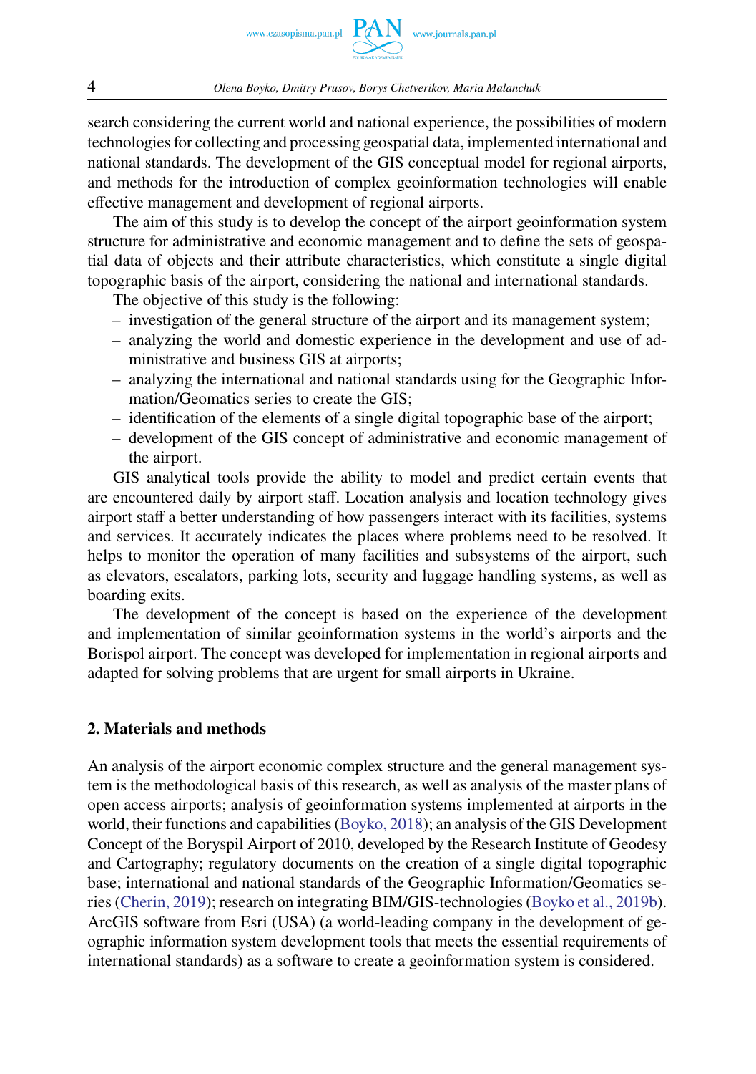search considering the current world and national experience, the possibilities of modern technologies for collecting and processing geospatial data, implemented international and national standards. The development of the GIS conceptual model for regional airports, and methods for the introduction of complex geoinformation technologies will enable effective management and development of regional airports.

The aim of this study is to develop the concept of the airport geoinformation system structure for administrative and economic management and to define the sets of geospatial data of objects and their attribute characteristics, which constitute a single digital topographic basis of the airport, considering the national and international standards.

The objective of this study is the following:

- investigation of the general structure of the airport and its management system;
- analyzing the world and domestic experience in the development and use of administrative and business GIS at airports;
- analyzing the international and national standards using for the Geographic Information/Geomatics series to create the GIS;
- identification of the elements of a single digital topographic base of the airport;
- development of the GIS concept of administrative and economic management of the airport.

GIS analytical tools provide the ability to model and predict certain events that are encountered daily by airport staff. Location analysis and location technology gives airport staff a better understanding of how passengers interact with its facilities, systems and services. It accurately indicates the places where problems need to be resolved. It helps to monitor the operation of many facilities and subsystems of the airport, such as elevators, escalators, parking lots, security and luggage handling systems, as well as boarding exits.

The development of the concept is based on the experience of the development and implementation of similar geoinformation systems in the world's airports and the Borispol airport. The concept was developed for implementation in regional airports and adapted for solving problems that are urgent for small airports in Ukraine.

# **2. Materials and methods**

An analysis of the airport economic complex structure and the general management system is the methodological basis of this research, as well as analysis of the master plans of open access airports; analysis of geoinformation systems implemented at airports in the world, their functions and capabilities [\(Boyko, 2018\)](#page-14-0); an analysis of the GIS Development Concept of the Boryspil Airport of 2010, developed by the Research Institute of Geodesy and Cartography; regulatory documents on the creation of a single digital topographic base; international and national standards of the Geographic Information/Geomatics series [\(Cherin, 2019\)](#page-14-0); research on integrating BIM/GIS-technologies [\(Boyko et al., 2019b\)](#page-14-0). ArcGIS software from Esri (USA) (a world-leading company in the development of geographic information system development tools that meets the essential requirements of international standards) as a software to create a geoinformation system is considered.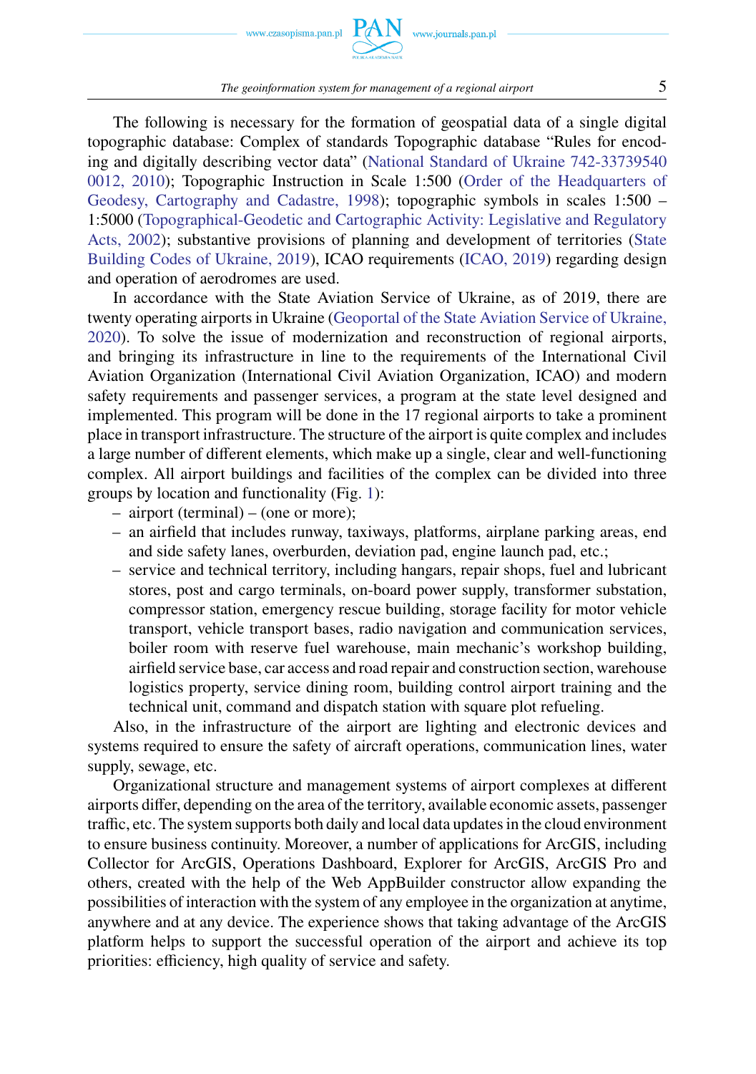www.czasopisma.pan.pl

The following is necessary for the formation of geospatial data of a single digital topographic database: Complex of standards Topographic database "Rules for encoding and digitally describing vector data" [\(National Standard of Ukraine 742-33739540](#page-14-0) [0012, 2010\)](#page-14-0); Topographic Instruction in Scale 1:500 [\(Order of the Headquarters of](#page-14-0) [Geodesy, Cartography and Cadastre, 1998\)](#page-14-0); topographic symbols in scales 1:500 – 1:5000 [\(Topographical-Geodetic and Cartographic Activity: Legislative and Regulatory](#page-14-0) [Acts, 2002\)](#page-14-0); substantive provisions of planning and development of territories [\(State](#page-14-0) [Building Codes of Ukraine, 2019\)](#page-14-0), ICAO requirements [\(ICAO, 2019\)](#page-14-0) regarding design and operation of aerodromes are used.

In accordance with the State Aviation Service of Ukraine, as of 2019, there are twenty operating airports in Ukraine [\(Geoportal of the State Aviation Service of Ukraine,](#page-14-0) [2020\)](#page-14-0). To solve the issue of modernization and reconstruction of regional airports, and bringing its infrastructure in line to the requirements of the International Civil Aviation Organization (International Civil Aviation Organization, ICAO) and modern safety requirements and passenger services, a program at the state level designed and implemented. This program will be done in the 17 regional airports to take a prominent place in transport infrastructure. The structure of the airport is quite complex and includes a large number of different elements, which make up a single, clear and well-functioning complex. All airport buildings and facilities of the complex can be divided into three groups by location and functionality (Fig. [1\)](#page-5-0):

- airport (terminal) (one or more);
- an airfield that includes runway, taxiways, platforms, airplane parking areas, end and side safety lanes, overburden, deviation pad, engine launch pad, etc.;
- service and technical territory, including hangars, repair shops, fuel and lubricant stores, post and cargo terminals, on-board power supply, transformer substation, compressor station, emergency rescue building, storage facility for motor vehicle transport, vehicle transport bases, radio navigation and communication services, boiler room with reserve fuel warehouse, main mechanic's workshop building, airfield service base, car access and road repair and construction section, warehouse logistics property, service dining room, building control airport training and the technical unit, command and dispatch station with square plot refueling.

Also, in the infrastructure of the airport are lighting and electronic devices and systems required to ensure the safety of aircraft operations, communication lines, water supply, sewage, etc.

Organizational structure and management systems of airport complexes at different airports differ, depending on the area of the territory, available economic assets, passenger traffic, etc. The system supports both daily and local data updates in the cloud environment to ensure business continuity. Moreover, a number of applications for ArcGIS, including Collector for ArcGIS, Operations Dashboard, Explorer for ArcGIS, ArcGIS Pro and others, created with the help of the Web AppBuilder constructor allow expanding the possibilities of interaction with the system of any employee in the organization at anytime, anywhere and at any device. The experience shows that taking advantage of the ArcGIS platform helps to support the successful operation of the airport and achieve its top priorities: efficiency, high quality of service and safety.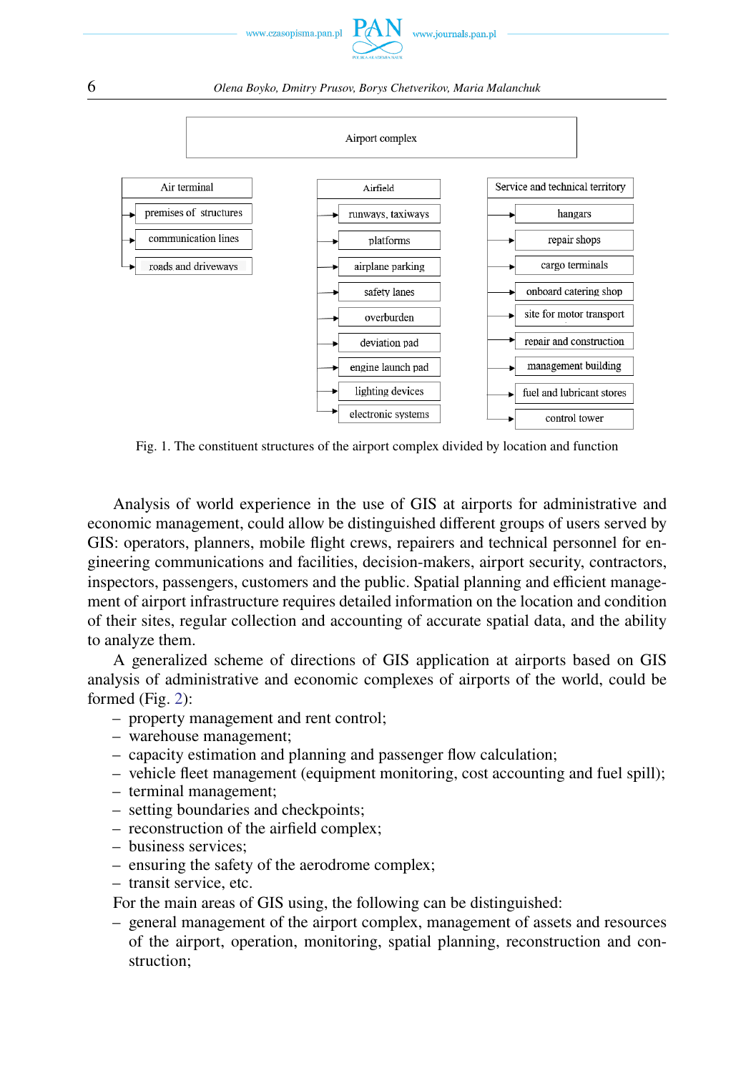

#### 6 *Olena Boyko, Dmitry Prusov, Borys Chetverikov, Maria Malanchuk*

<span id="page-5-0"></span>

Fig. 1. The constituent structures of the airport complex divided by location and function

Analysis of world experience in the use of GIS at airports for administrative and economic management, could allow be distinguished different groups of users served by GIS: operators, planners, mobile flight crews, repairers and technical personnel for engineering communications and facilities, decision-makers, airport security, contractors, inspectors, passengers, customers and the public. Spatial planning and efficient management of airport infrastructure requires detailed information on the location and condition of their sites, regular collection and accounting of accurate spatial data, and the ability to analyze them.

A generalized scheme of directions of GIS application at airports based on GIS analysis of administrative and economic complexes of airports of the world, could be formed (Fig. [2\)](#page-6-0):

- property management and rent control;
- warehouse management;
- capacity estimation and planning and passenger flow calculation;
- vehicle fleet management (equipment monitoring, cost accounting and fuel spill);
- terminal management;
- setting boundaries and checkpoints;
- reconstruction of the airfield complex;
- business services;
- ensuring the safety of the aerodrome complex;
- transit service, etc.

For the main areas of GIS using, the following can be distinguished:

– general management of the airport complex, management of assets and resources of the airport, operation, monitoring, spatial planning, reconstruction and construction;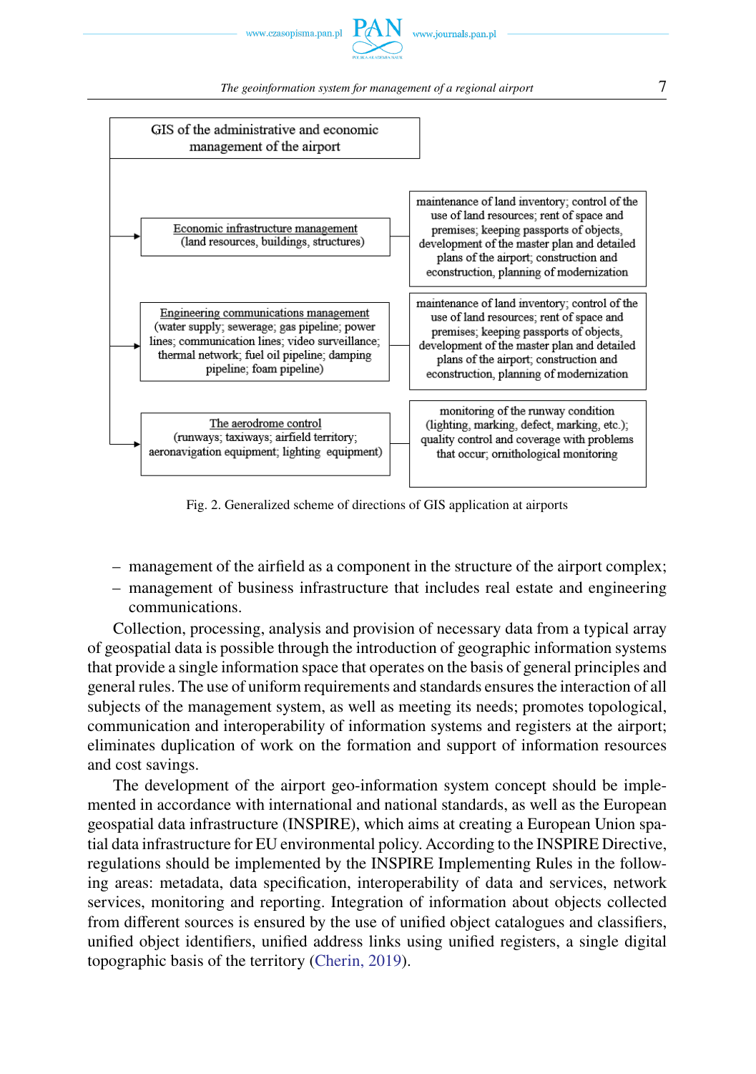www.czasopisma.pan.pl

#### *The geoinformation system for management of a regional airport*  $7$

<span id="page-6-0"></span>

Fig. 2. Generalized scheme of directions of GIS application at airports

- management of the airfield as a component in the structure of the airport complex;
- management of business infrastructure that includes real estate and engineering communications.

Collection, processing, analysis and provision of necessary data from a typical array of geospatial data is possible through the introduction of geographic information systems that provide a single information space that operates on the basis of general principles and general rules. The use of uniform requirements and standards ensures the interaction of all subjects of the management system, as well as meeting its needs; promotes topological, communication and interoperability of information systems and registers at the airport; eliminates duplication of work on the formation and support of information resources and cost savings.

The development of the airport geo-information system concept should be implemented in accordance with international and national standards, as well as the European geospatial data infrastructure (INSPIRE), which aims at creating a European Union spatial data infrastructure for EU environmental policy. According to the INSPIRE Directive, regulations should be implemented by the INSPIRE Implementing Rules in the following areas: metadata, data specification, interoperability of data and services, network services, monitoring and reporting. Integration of information about objects collected from different sources is ensured by the use of unified object catalogues and classifiers, unified object identifiers, unified address links using unified registers, a single digital topographic basis of the territory [\(Cherin, 2019\)](#page-14-0).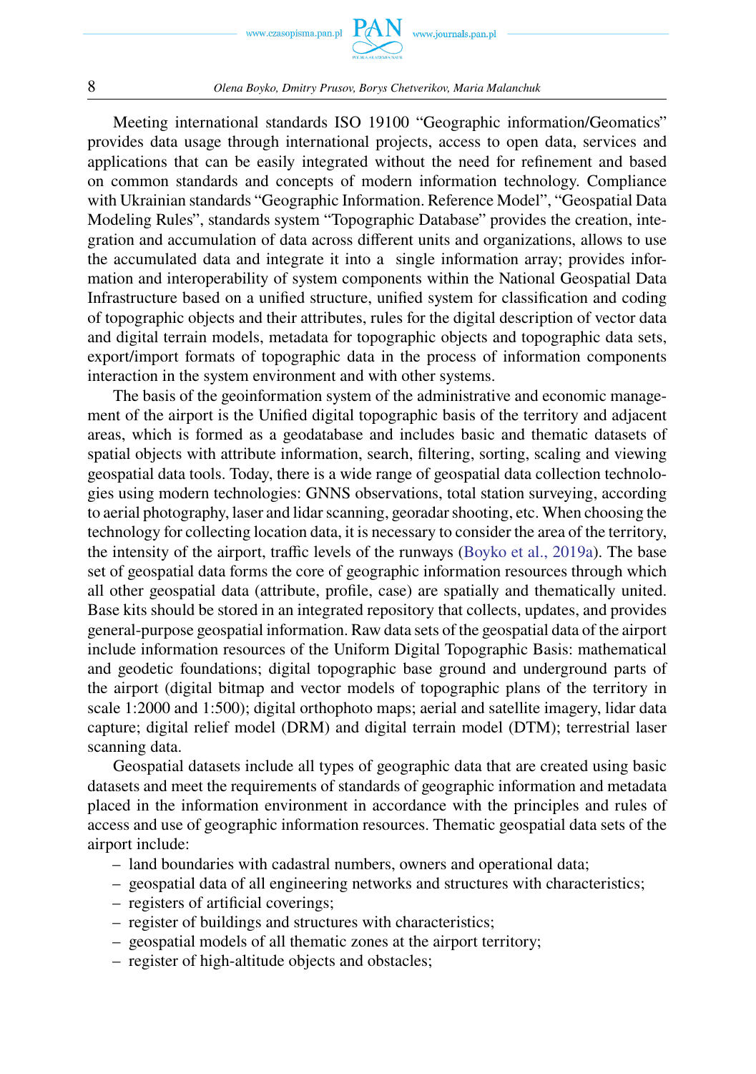



#### 8 *Olena Boyko, Dmitry Prusov, Borys Chetverikov, Maria Malanchuk*

Meeting international standards ISO 19100 "Geographic information/Geomatics" provides data usage through international projects, access to open data, services and applications that can be easily integrated without the need for refinement and based on common standards and concepts of modern information technology. Compliance with Ukrainian standards "Geographic Information. Reference Model", "Geospatial Data Modeling Rules", standards system "Topographic Database" provides the creation, integration and accumulation of data across different units and organizations, allows to use the accumulated data and integrate it into a single information array; provides information and interoperability of system components within the National Geospatial Data Infrastructure based on a unified structure, unified system for classification and coding of topographic objects and their attributes, rules for the digital description of vector data and digital terrain models, metadata for topographic objects and topographic data sets, export/import formats of topographic data in the process of information components interaction in the system environment and with other systems.

The basis of the geoinformation system of the administrative and economic management of the airport is the Unified digital topographic basis of the territory and adjacent areas, which is formed as a geodatabase and includes basic and thematic datasets of spatial objects with attribute information, search, filtering, sorting, scaling and viewing geospatial data tools. Today, there is a wide range of geospatial data collection technologies using modern technologies: GNNS observations, total station surveying, according to aerial photography, laser and lidar scanning, georadar shooting, etc. When choosing the technology for collecting location data, it is necessary to consider the area of the territory, the intensity of the airport, traffic levels of the runways [\(Boyko et al., 2019a\)](#page-14-0). The base set of geospatial data forms the core of geographic information resources through which all other geospatial data (attribute, profile, case) are spatially and thematically united. Base kits should be stored in an integrated repository that collects, updates, and provides general-purpose geospatial information. Raw data sets of the geospatial data of the airport include information resources of the Uniform Digital Topographic Basis: mathematical and geodetic foundations; digital topographic base ground and underground parts of the airport (digital bitmap and vector models of topographic plans of the territory in scale 1:2000 and 1:500); digital orthophoto maps; aerial and satellite imagery, lidar data capture; digital relief model (DRM) and digital terrain model (DTM); terrestrial laser scanning data.

Geospatial datasets include all types of geographic data that are created using basic datasets and meet the requirements of standards of geographic information and metadata placed in the information environment in accordance with the principles and rules of access and use of geographic information resources. Thematic geospatial data sets of the airport include:

- land boundaries with cadastral numbers, owners and operational data;
- geospatial data of all engineering networks and structures with characteristics;
- registers of artificial coverings;
- register of buildings and structures with characteristics;
- geospatial models of all thematic zones at the airport territory;
- register of high-altitude objects and obstacles;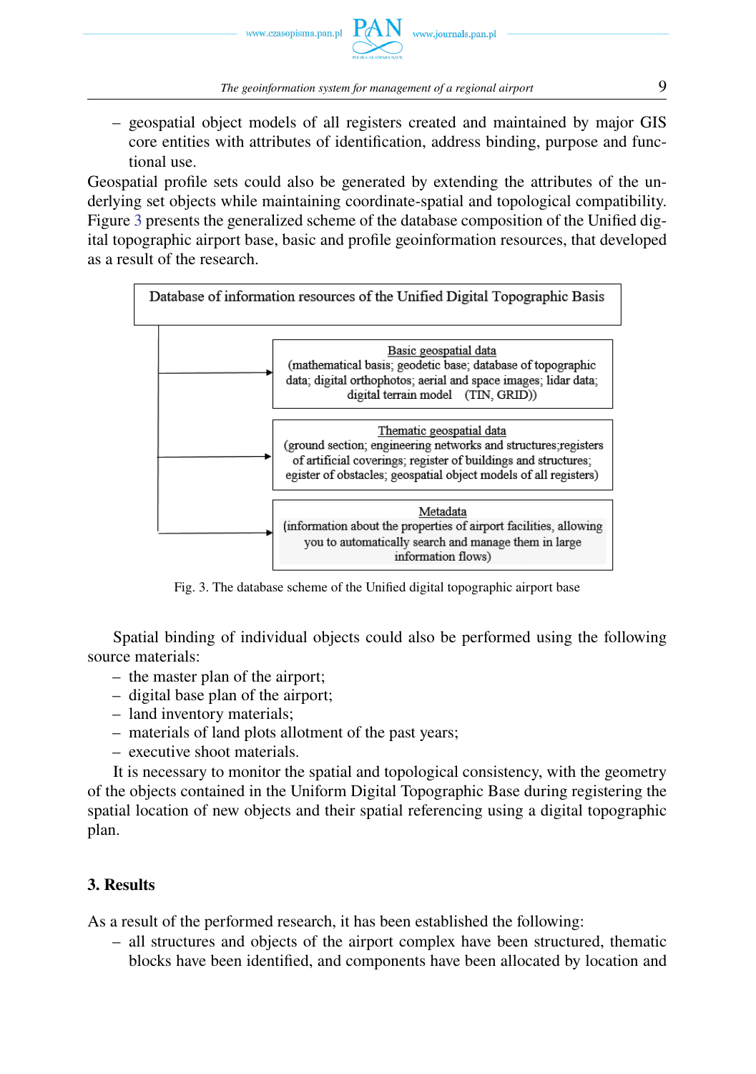– geospatial object models of all registers created and maintained by major GIS core entities with attributes of identification, address binding, purpose and functional use.

Geospatial profile sets could also be generated by extending the attributes of the underlying set objects while maintaining coordinate-spatial and topological compatibility. Figure [3](#page-8-0) presents the generalized scheme of the database composition of the Unified digital topographic airport base, basic and profile geoinformation resources, that developed as a result of the research.

<span id="page-8-0"></span>

Fig. 3. The database scheme of the Unified digital topographic airport base

Spatial binding of individual objects could also be performed using the following source materials:

- the master plan of the airport;
- digital base plan of the airport;
- land inventory materials;
- materials of land plots allotment of the past years;
- executive shoot materials.

It is necessary to monitor the spatial and topological consistency, with the geometry of the objects contained in the Uniform Digital Topographic Base during registering the spatial location of new objects and their spatial referencing using a digital topographic plan.

# **3. Results**

As a result of the performed research, it has been established the following:

– all structures and objects of the airport complex have been structured, thematic blocks have been identified, and components have been allocated by location and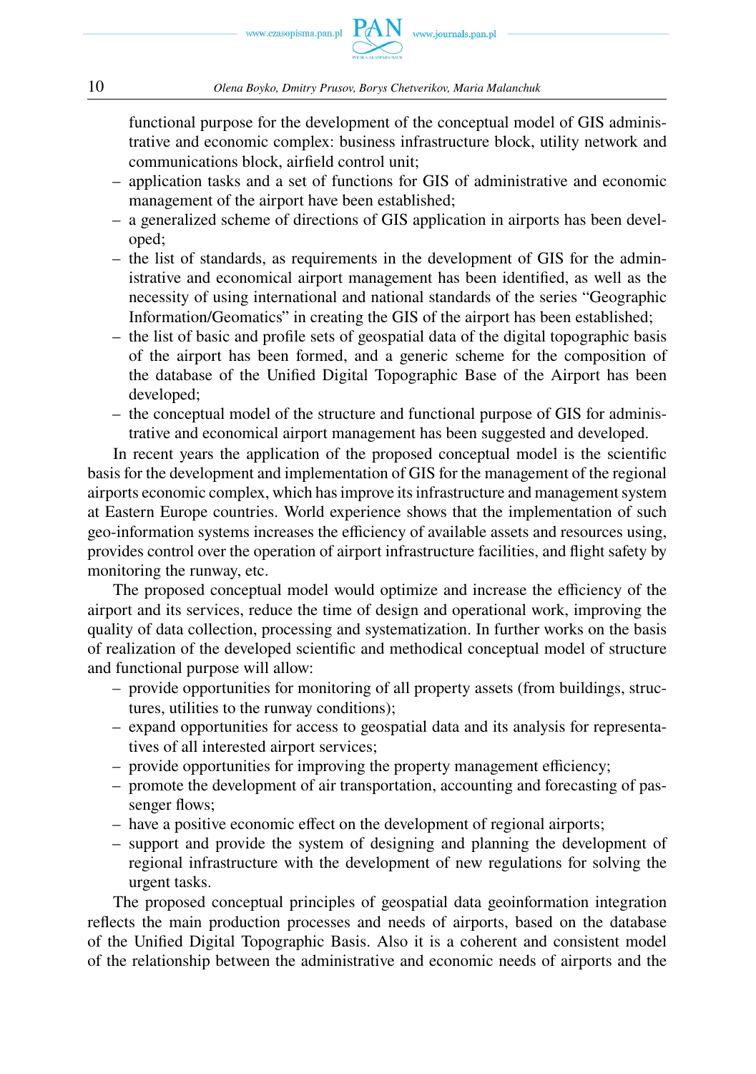functional purpose for the development of the conceptual model of GIS administrative and economic complex: business infrastructure block, utility network and communications block, airfield control unit;

- application tasks and a set of functions for GIS of administrative and economic management of the airport have been established;
- a generalized scheme of directions of GIS application in airports has been developed;
- the list of standards, as requirements in the development of GIS for the administrative and economical airport management has been identified, as well as the necessity of using international and national standards of the series "Geographic Information/Geomatics" in creating the GIS of the airport has been established;
- the list of basic and profile sets of geospatial data of the digital topographic basis of the airport has been formed, and a generic scheme for the composition of the database of the Unified Digital Topographic Base of the Airport has been developed;
- the conceptual model of the structure and functional purpose of GIS for administrative and economical airport management has been suggested and developed.

In recent years the application of the proposed conceptual model is the scientific basis for the development and implementation of GIS for the management of the regional airports economic complex, which has improve its infrastructure and management system at Eastern Europe countries. World experience shows that the implementation of such geo-information systems increases the efficiency of available assets and resources using, provides control over the operation of airport infrastructure facilities, and flight safety by monitoring the runway, etc.

The proposed conceptual model would optimize and increase the efficiency of the airport and its services, reduce the time of design and operational work, improving the quality of data collection, processing and systematization. In further works on the basis of realization of the developed scientific and methodical conceptual model of structure and functional purpose will allow:

- provide opportunities for monitoring of all property assets (from buildings, structures, utilities to the runway conditions);
- expand opportunities for access to geospatial data and its analysis for representatives of all interested airport services;
- provide opportunities for improving the property management efficiency;
- promote the development of air transportation, accounting and forecasting of passenger flows;
- have a positive economic effect on the development of regional airports;
- support and provide the system of designing and planning the development of regional infrastructure with the development of new regulations for solving the urgent tasks.

The proposed conceptual principles of geospatial data geoinformation integration reflects the main production processes and needs of airports, based on the database of the Unified Digital Topographic Basis. Also it is a coherent and consistent model of the relationship between the administrative and economic needs of airports and the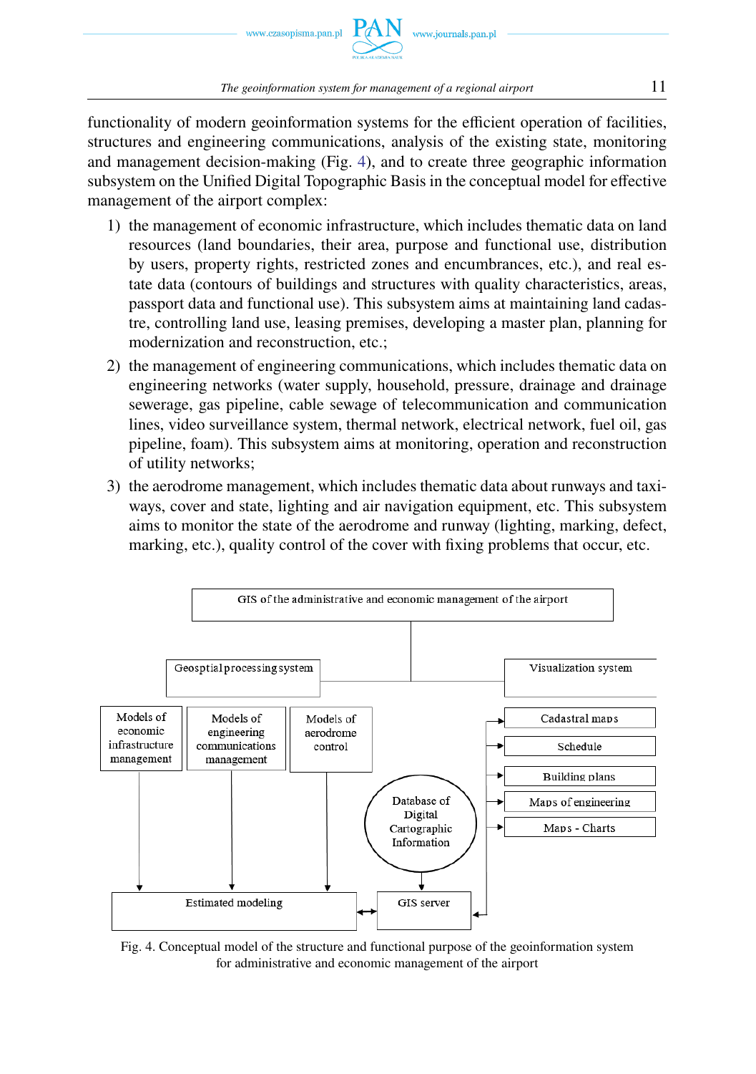

functionality of modern geoinformation systems for the efficient operation of facilities, structures and engineering communications, analysis of the existing state, monitoring and management decision-making (Fig. [4\)](#page-10-0), and to create three geographic information subsystem on the Unified Digital Topographic Basis in the conceptual model for effective management of the airport complex:

- 1) the management of economic infrastructure, which includes thematic data on land resources (land boundaries, their area, purpose and functional use, distribution by users, property rights, restricted zones and encumbrances, etc.), and real estate data (contours of buildings and structures with quality characteristics, areas, passport data and functional use). This subsystem aims at maintaining land cadastre, controlling land use, leasing premises, developing a master plan, planning for modernization and reconstruction, etc.;
- 2) the management of engineering communications, which includes thematic data on engineering networks (water supply, household, pressure, drainage and drainage sewerage, gas pipeline, cable sewage of telecommunication and communication lines, video surveillance system, thermal network, electrical network, fuel oil, gas pipeline, foam). This subsystem aims at monitoring, operation and reconstruction of utility networks;
- 3) the aerodrome management, which includes thematic data about runways and taxiways, cover and state, lighting and air navigation equipment, etc. This subsystem aims to monitor the state of the aerodrome and runway (lighting, marking, defect, marking, etc.), quality control of the cover with fixing problems that occur, etc.

<span id="page-10-0"></span>

Fig. 4. Conceptual model of the structure and functional purpose of the geoinformation system for administrative and economic management of the airport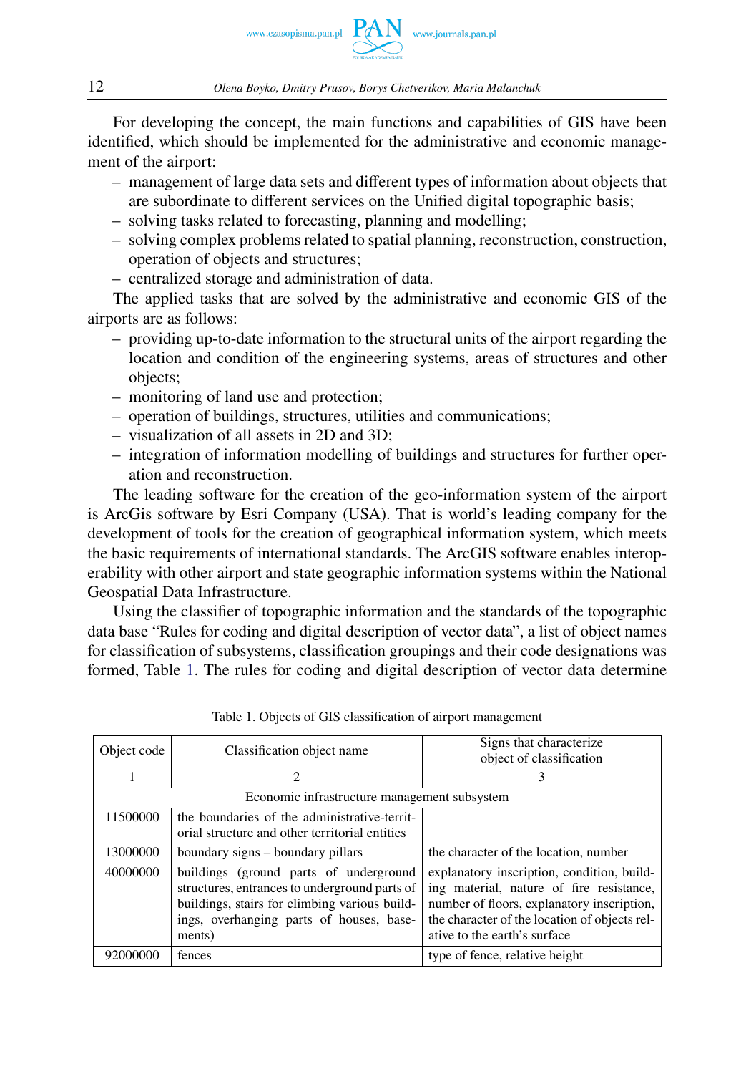

12 *Olena Boyko, Dmitry Prusov, Borys Chetverikov, Maria Malanchuk*

For developing the concept, the main functions and capabilities of GIS have been identified, which should be implemented for the administrative and economic management of the airport:

- management of large data sets and different types of information about objects that are subordinate to different services on the Unified digital topographic basis;
- solving tasks related to forecasting, planning and modelling;
- solving complex problems related to spatial planning, reconstruction, construction, operation of objects and structures;
- centralized storage and administration of data.

The applied tasks that are solved by the administrative and economic GIS of the airports are as follows:

- providing up-to-date information to the structural units of the airport regarding the location and condition of the engineering systems, areas of structures and other objects;
- monitoring of land use and protection;
- operation of buildings, structures, utilities and communications;
- visualization of all assets in 2D and 3D;
- integration of information modelling of buildings and structures for further operation and reconstruction.

The leading software for the creation of the geo-information system of the airport is ArcGis software by Esri Company (USA). That is world's leading company for the development of tools for the creation of geographical information system, which meets the basic requirements of international standards. The ArcGIS software enables interoperability with other airport and state geographic information systems within the National Geospatial Data Infrastructure.

Using the classifier of topographic information and the standards of the topographic data base "Rules for coding and digital description of vector data", a list of object names for classification of subsystems, classification groupings and their code designations was formed, Table [1.](#page-11-0) The rules for coding and digital description of vector data determine

<span id="page-11-0"></span>

| Object code                                  | Classification object name                                                                                                                                                                     | Signs that characterize                                                                                                                                                                                               |  |
|----------------------------------------------|------------------------------------------------------------------------------------------------------------------------------------------------------------------------------------------------|-----------------------------------------------------------------------------------------------------------------------------------------------------------------------------------------------------------------------|--|
|                                              |                                                                                                                                                                                                | object of classification                                                                                                                                                                                              |  |
|                                              | 2                                                                                                                                                                                              |                                                                                                                                                                                                                       |  |
| Economic infrastructure management subsystem |                                                                                                                                                                                                |                                                                                                                                                                                                                       |  |
| 11500000                                     | the boundaries of the administrative-territ-                                                                                                                                                   |                                                                                                                                                                                                                       |  |
|                                              | orial structure and other territorial entities                                                                                                                                                 |                                                                                                                                                                                                                       |  |
| 13000000                                     | boundary signs – boundary pillars                                                                                                                                                              | the character of the location, number                                                                                                                                                                                 |  |
| 40000000                                     | buildings (ground parts of underground<br>structures, entrances to underground parts of<br>buildings, stairs for climbing various build-<br>ings, overhanging parts of houses, base-<br>ments) | explanatory inscription, condition, build-<br>ing material, nature of fire resistance,<br>number of floors, explanatory inscription,<br>the character of the location of objects rel-<br>ative to the earth's surface |  |
| 92000000                                     | fences                                                                                                                                                                                         | type of fence, relative height                                                                                                                                                                                        |  |

Table 1. Objects of GIS classification of airport management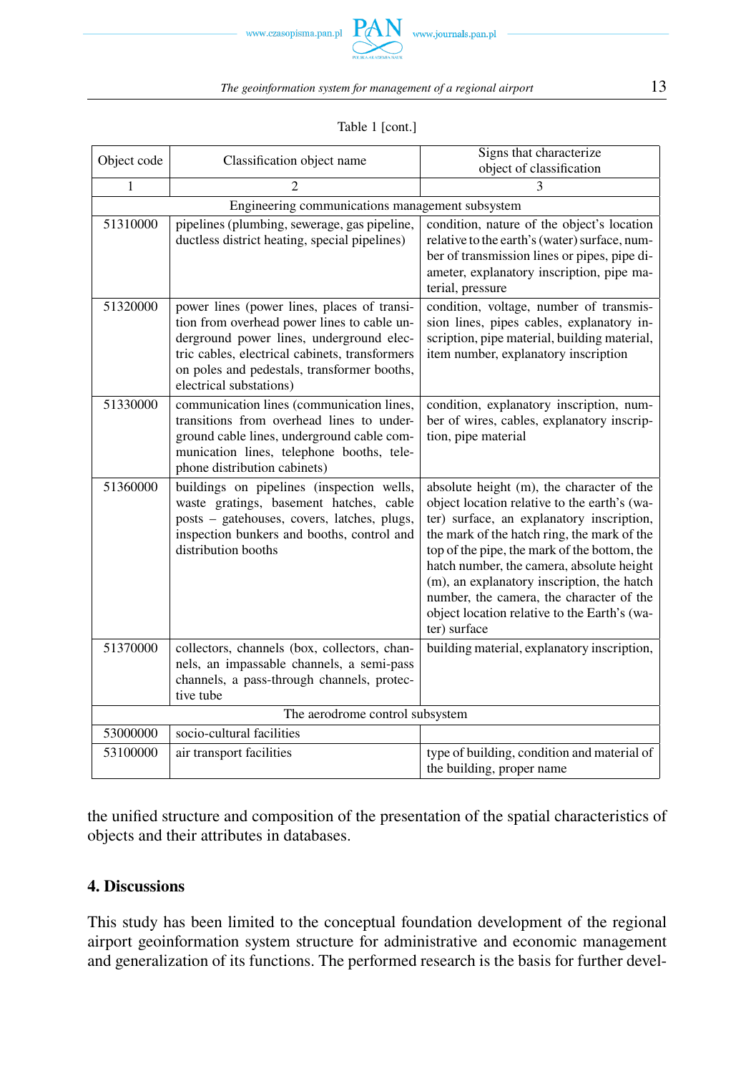



# Table 1 [cont.]

| Object code                                     | Classification object name                                                                                                                                                                                                                                         | Signs that characterize                                                                                                                                                                                                                                                                                                                                                                                                                      |  |
|-------------------------------------------------|--------------------------------------------------------------------------------------------------------------------------------------------------------------------------------------------------------------------------------------------------------------------|----------------------------------------------------------------------------------------------------------------------------------------------------------------------------------------------------------------------------------------------------------------------------------------------------------------------------------------------------------------------------------------------------------------------------------------------|--|
|                                                 |                                                                                                                                                                                                                                                                    | object of classification                                                                                                                                                                                                                                                                                                                                                                                                                     |  |
| 1                                               |                                                                                                                                                                                                                                                                    |                                                                                                                                                                                                                                                                                                                                                                                                                                              |  |
| Engineering communications management subsystem |                                                                                                                                                                                                                                                                    |                                                                                                                                                                                                                                                                                                                                                                                                                                              |  |
| 51310000                                        | pipelines (plumbing, sewerage, gas pipeline,<br>ductless district heating, special pipelines)                                                                                                                                                                      | condition, nature of the object's location<br>relative to the earth's (water) surface, num-<br>ber of transmission lines or pipes, pipe di-<br>ameter, explanatory inscription, pipe ma-<br>terial, pressure                                                                                                                                                                                                                                 |  |
| 51320000                                        | power lines (power lines, places of transi-<br>tion from overhead power lines to cable un-<br>derground power lines, underground elec-<br>tric cables, electrical cabinets, transformers<br>on poles and pedestals, transformer booths,<br>electrical substations) | condition, voltage, number of transmis-<br>sion lines, pipes cables, explanatory in-<br>scription, pipe material, building material,<br>item number, explanatory inscription                                                                                                                                                                                                                                                                 |  |
| 51330000                                        | communication lines (communication lines,<br>transitions from overhead lines to under-<br>ground cable lines, underground cable com-<br>munication lines, telephone booths, tele-<br>phone distribution cabinets)                                                  | condition, explanatory inscription, num-<br>ber of wires, cables, explanatory inscrip-<br>tion, pipe material                                                                                                                                                                                                                                                                                                                                |  |
| 51360000                                        | buildings on pipelines (inspection wells,<br>waste gratings, basement hatches, cable<br>posts - gatehouses, covers, latches, plugs,<br>inspection bunkers and booths, control and<br>distribution booths                                                           | absolute height (m), the character of the<br>object location relative to the earth's (wa-<br>ter) surface, an explanatory inscription,<br>the mark of the hatch ring, the mark of the<br>top of the pipe, the mark of the bottom, the<br>hatch number, the camera, absolute height<br>(m), an explanatory inscription, the hatch<br>number, the camera, the character of the<br>object location relative to the Earth's (wa-<br>ter) surface |  |
| 51370000                                        | collectors, channels (box, collectors, chan-<br>nels, an impassable channels, a semi-pass<br>channels, a pass-through channels, protec-<br>tive tube                                                                                                               | building material, explanatory inscription,                                                                                                                                                                                                                                                                                                                                                                                                  |  |
| The aerodrome control subsystem                 |                                                                                                                                                                                                                                                                    |                                                                                                                                                                                                                                                                                                                                                                                                                                              |  |
| 53000000                                        | socio-cultural facilities                                                                                                                                                                                                                                          |                                                                                                                                                                                                                                                                                                                                                                                                                                              |  |
| 53100000                                        | air transport facilities                                                                                                                                                                                                                                           | type of building, condition and material of<br>the building, proper name                                                                                                                                                                                                                                                                                                                                                                     |  |

the unified structure and composition of the presentation of the spatial characteristics of objects and their attributes in databases.

### **4. Discussions**

This study has been limited to the conceptual foundation development of the regional airport geoinformation system structure for administrative and economic management and generalization of its functions. The performed research is the basis for further devel-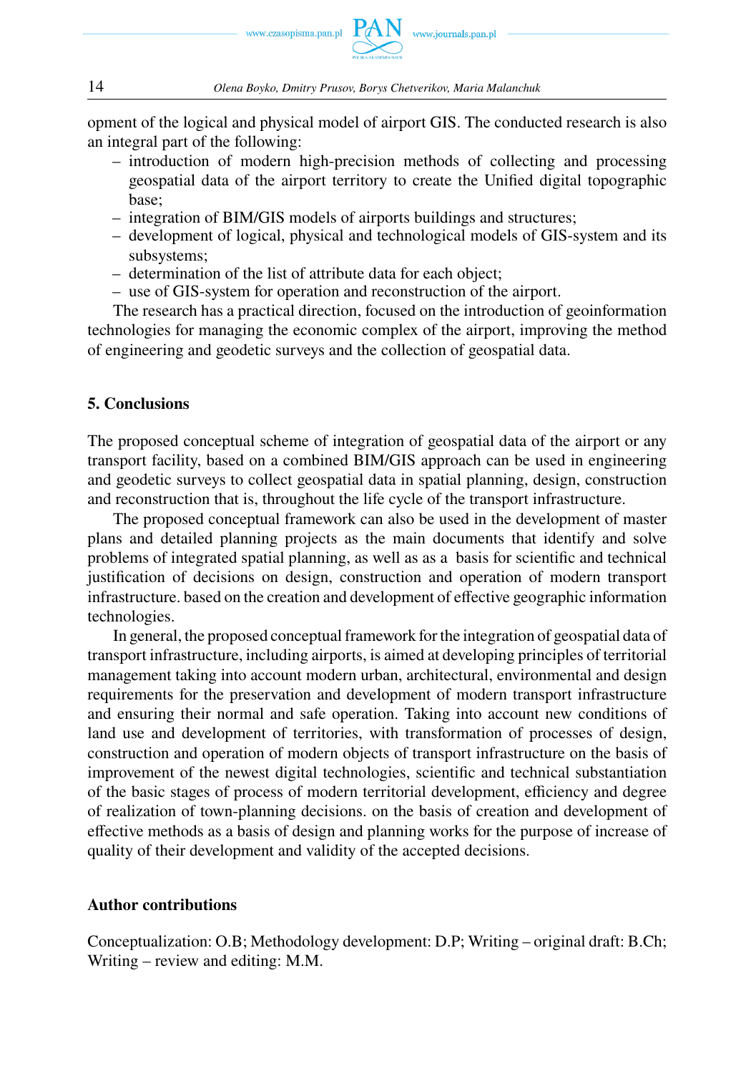

opment of the logical and physical model of airport GIS. The conducted research is also an integral part of the following:

- introduction of modern high-precision methods of collecting and processing geospatial data of the airport territory to create the Unified digital topographic base;
- integration of BIM/GIS models of airports buildings and structures;
- development of logical, physical and technological models of GIS-system and its subsystems;
- determination of the list of attribute data for each object;
- use of GIS-system for operation and reconstruction of the airport.

The research has a practical direction, focused on the introduction of geoinformation technologies for managing the economic complex of the airport, improving the method of engineering and geodetic surveys and the collection of geospatial data.

### **5. Conclusions**

The proposed conceptual scheme of integration of geospatial data of the airport or any transport facility, based on a combined BIM/GIS approach can be used in engineering and geodetic surveys to collect geospatial data in spatial planning, design, construction and reconstruction that is, throughout the life cycle of the transport infrastructure.

The proposed conceptual framework can also be used in the development of master plans and detailed planning projects as the main documents that identify and solve problems of integrated spatial planning, as well as as a basis for scientific and technical justification of decisions on design, construction and operation of modern transport infrastructure. based on the creation and development of effective geographic information technologies.

In general, the proposed conceptual framework for the integration of geospatial data of transport infrastructure, including airports, is aimed at developing principles of territorial management taking into account modern urban, architectural, environmental and design requirements for the preservation and development of modern transport infrastructure and ensuring their normal and safe operation. Taking into account new conditions of land use and development of territories, with transformation of processes of design, construction and operation of modern objects of transport infrastructure on the basis of improvement of the newest digital technologies, scientific and technical substantiation of the basic stages of process of modern territorial development, efficiency and degree of realization of town-planning decisions. on the basis of creation and development of effective methods as a basis of design and planning works for the purpose of increase of quality of their development and validity of the accepted decisions.

### **Author contributions**

Conceptualization: O.B; Methodology development: D.P; Writing – original draft: B.Ch; Writing – review and editing: M.M.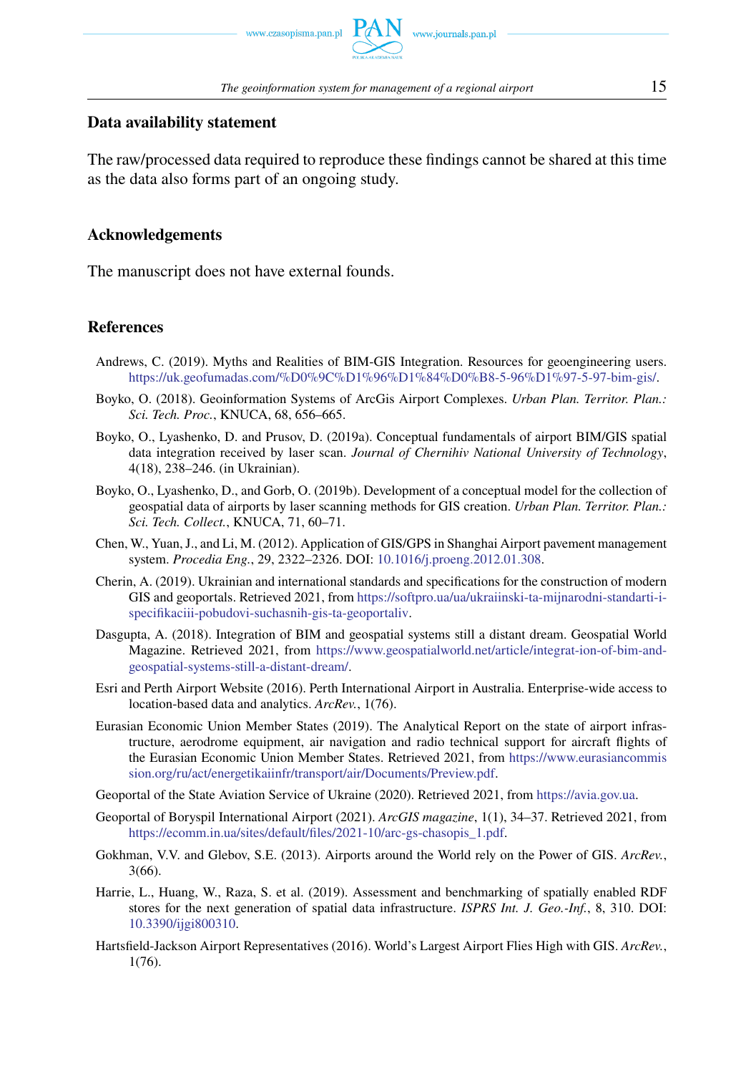

### **Data availability statement**

The raw/processed data required to reproduce these findings cannot be shared at this time as the data also forms part of an ongoing study.

### **Acknowledgements**

The manuscript does not have external founds.

### <span id="page-14-0"></span>**References**

- Andrews, C. (2019). Myths and Realities of BIM-GIS Integration. Resources for geoengineering users. [https://uk.geofumadas.com/%D0%9C%D1%96%D1%84%D0%B8-5-96%D1%97-5-97-bim-gis/.](https://uk.geofumadas.com/%D0%9C%D1%96%D1%84%D0%B8-5-96%D1%97-5-97-bim-gis/)
- Boyko, O. (2018). Geoinformation Systems of ArcGis Airport Complexes. *Urban Plan. Territor. Plan.: Sci. Tech. Proc.*, KNUCA, 68, 656–665.
- Boyko, O., Lyashenko, D. and Prusov, D. (2019a). Conceptual fundamentals of airport BIM/GIS spatial data integration received by laser scan. *Journal of Chernihiv National University of Technology*, 4(18), 238–246. (in Ukrainian).
- Boyko, O., Lyashenko, D., and Gorb, O. (2019b). Development of a conceptual model for the collection of geospatial data of airports by laser scanning methods for GIS creation. *Urban Plan. Territor. Plan.: Sci. Tech. Collect.*, KNUCA, 71, 60–71.
- Chen, W., Yuan, J., and Li, M. (2012). Application of GIS/GPS in Shanghai Airport pavement management system. *Procedia Eng.*, 29, 2322–2326. DOI: [10.1016/j.proeng.2012.01.308.](https://doi.org/10.1016/j.proeng.2012.01.308)
- Cherin, A. (2019). Ukrainian and international standards and specifications for the construction of modern GIS and geoportals. Retrieved 2021, from [https://softpro.ua/ua/ukraiinski-ta-mijnarodni-standarti-i](https://softpro.ua/ua/ukraiinski-ta-mijnarodni-standarti-i-specifikaciii-pobudovi-suchasnih-gis-ta-geoportaliv)[specifikaciii-pobudovi-suchasnih-gis-ta-geoportaliv.](https://softpro.ua/ua/ukraiinski-ta-mijnarodni-standarti-i-specifikaciii-pobudovi-suchasnih-gis-ta-geoportaliv)
- Dasgupta, A. (2018). Integration of BIM and geospatial systems still a distant dream. Geospatial World Magazine. Retrieved 2021, from [https://www.geospatialworld.net/article/integrat-ion-of-bim-and](https://www.geospatialworld.net/article/integrat-ion-of-bim-and-geospatial-systems-still-a-distant-dream/)[geospatial-systems-still-a-distant-dream/.](https://www.geospatialworld.net/article/integrat-ion-of-bim-and-geospatial-systems-still-a-distant-dream/)
- Esri and Perth Airport Website (2016). Perth International Airport in Australia. Enterprise-wide access to location-based data and analytics. *ArcRev.*, 1(76).
- Eurasian Economic Union Member States (2019). The Analytical Report on the state of airport infrastructure, aerodrome equipment, air navigation and radio technical support for aircraft flights of the Eurasian Economic Union Member States. Retrieved 2021, from [https://www.eurasiancommis](https://www.eurasiancommission.org/ru/act/energetikaiinfr/transport/air/Documents/Preview.pdf) [sion.org/ru/act/energetikaiinfr/transport/air/Documents/Preview.pdf.](https://www.eurasiancommission.org/ru/act/energetikaiinfr/transport/air/Documents/Preview.pdf)
- Geoportal of the State Aviation Service of Ukraine (2020). Retrieved 2021, from [https://avia.gov.ua.](https://avia.gov.ua)
- Geoportal of Boryspil International Airport (2021). *ArcGIS magazine*, 1(1), 34–37. Retrieved 2021, from [https://ecomm.in.ua/sites/default/files/2021-10/arc-gs-chasopis\\_1.pdf.](https://ecomm.in.ua/sites/default/files/2021-10/arc-gs-chasopis_1.pdf)
- Gokhman, V.V. and Glebov, S.E. (2013). Airports around the World rely on the Power of GIS. *ArcRev.*, 3(66).
- Harrie, L., Huang, W., Raza, S. et al. (2019). Assessment and benchmarking of spatially enabled RDF stores for the next generation of spatial data infrastructure. *ISPRS Int. J. Geo.-Inf.*, 8, 310. DOI: [10.3390/ijgi800310.](https://doi.org/10.3390/ijgi800310)
- Hartsfield-Jackson Airport Representatives (2016). World's Largest Airport Flies High with GIS. *ArcRev.*, 1(76).